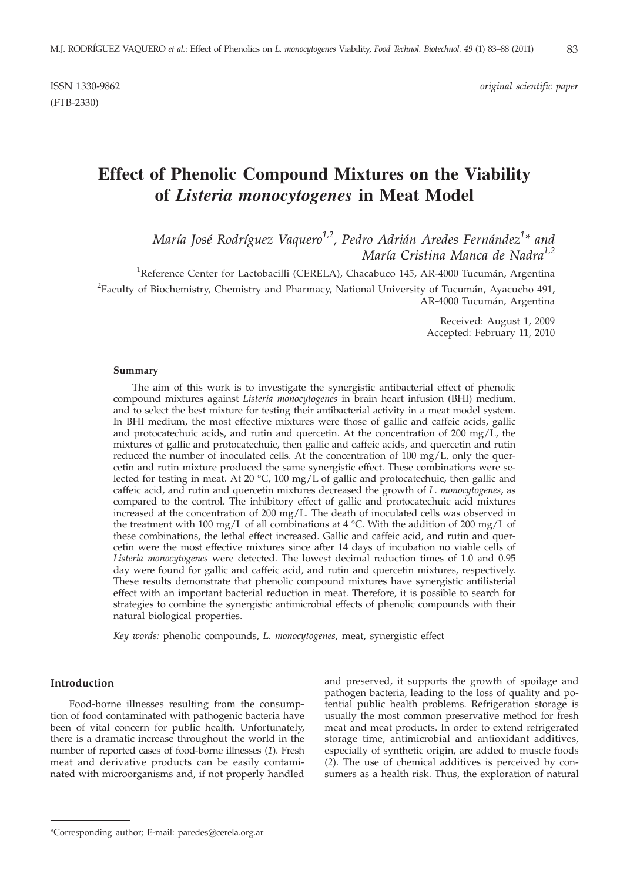ISSN 1330-9862 *original scientific paper*

# **Effect of Phenolic Compound Mixtures on the Viability of** *Listeria monocytogenes* **in Meat Model**

*María José Rodríguez Vaquero1,2, Pedro Adrián Aredes Fernández1 \* and María Cristina Manca de Nadra1,2*

<sup>1</sup>Reference Center for Lactobacilli (CERELA), Chacabuco 145, AR-4000 Tucumán, Argentina  $^{2}$ Faculty of Biochemistry, Chemistry and Pharmacy, National University of Tucumán, Ayacucho 491, AR-4000 Tucumán, Argentina

> Received: August 1, 2009 Accepted: February 11, 2010

#### **Summary**

The aim of this work is to investigate the synergistic antibacterial effect of phenolic compound mixtures against *Listeria monocytogenes* in brain heart infusion (BHI) medium, and to select the best mixture for testing their antibacterial activity in a meat model system. In BHI medium, the most effective mixtures were those of gallic and caffeic acids, gallic and protocatechuic acids, and rutin and quercetin. At the concentration of  $200 \text{ mg/L}$ , the mixtures of gallic and protocatechuic, then gallic and caffeic acids, and quercetin and rutin reduced the number of inoculated cells. At the concentration of  $100 \text{ mg/L}$ , only the quercetin and rutin mixture produced the same synergistic effect. These combinations were selected for testing in meat. At 20 °C, 100 mg/L of gallic and protocatechuic, then gallic and caffeic acid, and rutin and quercetin mixtures decreased the growth of *L. monocytogenes*, as compared to the control. The inhibitory effect of gallic and protocatechuic acid mixtures increased at the concentration of 200 mg/L. The death of inoculated cells was observed in the treatment with 100 mg/L of all combinations at 4 °C. With the addition of 200 mg/L of these combinations, the lethal effect increased. Gallic and caffeic acid, and rutin and quercetin were the most effective mixtures since after 14 days of incubation no viable cells of *Listeria monocytogenes* were detected. The lowest decimal reduction times of 1.0 and 0.95 day were found for gallic and caffeic acid, and rutin and quercetin mixtures, respectively. These results demonstrate that phenolic compound mixtures have synergistic antilisterial effect with an important bacterial reduction in meat. Therefore, it is possible to search for strategies to combine the synergistic antimicrobial effects of phenolic compounds with their natural biological properties.

*Key words:* phenolic compounds, *L. monocytogenes,* meat, synergistic effect

## **Introduction**

Food-borne illnesses resulting from the consumption of food contaminated with pathogenic bacteria have been of vital concern for public health. Unfortunately, there is a dramatic increase throughout the world in the number of reported cases of food-borne illnesses (*1*). Fresh meat and derivative products can be easily contaminated with microorganisms and, if not properly handled

and preserved, it supports the growth of spoilage and pathogen bacteria, leading to the loss of quality and potential public health problems. Refrigeration storage is usually the most common preservative method for fresh meat and meat products. In order to extend refrigerated storage time, antimicrobial and antioxidant additives, especially of synthetic origin, are added to muscle foods (*2*). The use of chemical additives is perceived by consumers as a health risk. Thus, the exploration of natural

<sup>\*</sup>Corresponding author; E-mail: paredes@cerela.org.ar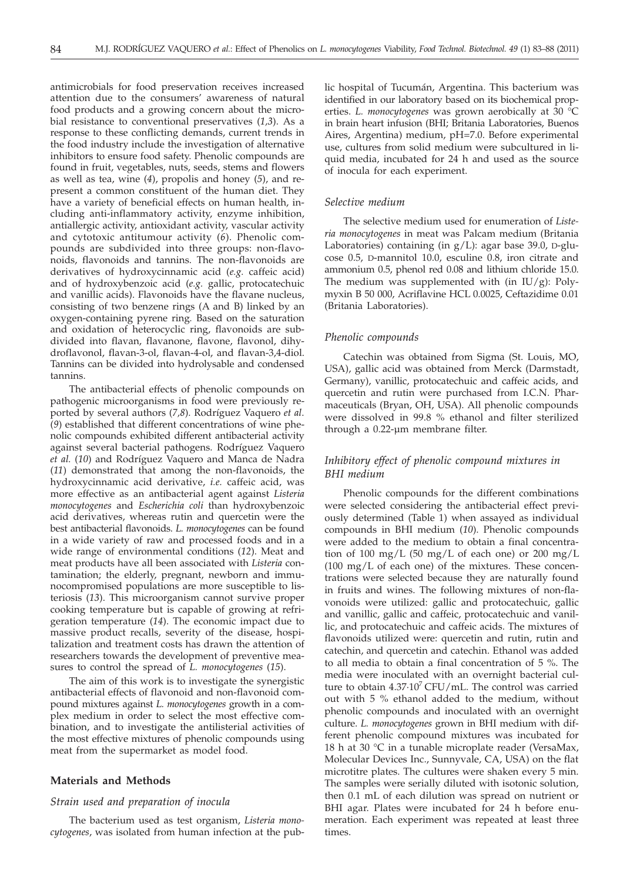antimicrobials for food preservation receives increased attention due to the consumers' awareness of natural food products and a growing concern about the microbial resistance to conventional preservatives (*1,3*). As a response to these conflicting demands, current trends in the food industry include the investigation of alternative inhibitors to ensure food safety. Phenolic compounds are found in fruit, vegetables, nuts, seeds, stems and flowers as well as tea, wine (*4*), propolis and honey (*5*), and represent a common constituent of the human diet. They have a variety of beneficial effects on human health, including anti-inflammatory activity, enzyme inhibition, antiallergic activity, antioxidant activity, vascular activity and cytotoxic antitumour activity (*6*). Phenolic compounds are subdivided into three groups: non-flavonoids, flavonoids and tannins. The non-flavonoids are derivatives of hydroxycinnamic acid (*e.g.* caffeic acid) and of hydroxybenzoic acid (*e.g.* gallic, protocatechuic and vanillic acids). Flavonoids have the flavane nucleus, consisting of two benzene rings (A and B) linked by an oxygen-containing pyrene ring*.* Based on the saturation and oxidation of heterocyclic ring, flavonoids are subdivided into flavan, flavanone, flavone, flavonol, dihydroflavonol, flavan-3-ol, flavan-4-ol, and flavan-3,4-diol. Tannins can be divided into hydrolysable and condensed tannins.

The antibacterial effects of phenolic compounds on pathogenic microorganisms in food were previously reported by several authors (*7,8*). Rodríguez Vaquero *et al*. (*9*) established that different concentrations of wine phenolic compounds exhibited different antibacterial activity against several bacterial pathogens. Rodríguez Vaquero *et al.* (*10*) and Rodríguez Vaquero and Manca de Nadra (*11*) demonstrated that among the non-flavonoids, the hydroxycinnamic acid derivative, *i.e.* caffeic acid, was more effective as an antibacterial agent against *Listeria monocytogenes* and *Escherichia coli* than hydroxybenzoic acid derivatives, whereas rutin and quercetin were the best antibacterial flavonoids. *L. monocytogenes* can be found in a wide variety of raw and processed foods and in a wide range of environmental conditions (*12*). Meat and meat products have all been associated with *Listeria* contamination; the elderly, pregnant, newborn and immunocompromised populations are more susceptible to listeriosis (*13*). This microorganism cannot survive proper cooking temperature but is capable of growing at refrigeration temperature (*14*). The economic impact due to massive product recalls, severity of the disease, hospitalization and treatment costs has drawn the attention of researchers towards the development of preventive measures to control the spread of *L. monocytogenes* (*15*).

The aim of this work is to investigate the synergistic antibacterial effects of flavonoid and non-flavonoid compound mixtures against *L. monocytogenes* growth in a complex medium in order to select the most effective combination, and to investigate the antilisterial activities of the most effective mixtures of phenolic compounds using meat from the supermarket as model food.

## **Materials and Methods**

#### *Strain used and preparation of inocula*

The bacterium used as test organism, *Listeria monocytogenes*, was isolated from human infection at the public hospital of Tucumán, Argentina. This bacterium was identified in our laboratory based on its biochemical properties. *L. monocytogenes* was grown aerobically at 30 °C in brain heart infusion (BHI; Britania Laboratories, Buenos Aires, Argentina) medium, pH=7.0. Before experimental use, cultures from solid medium were subcultured in liquid media, incubated for 24 h and used as the source of inocula for each experiment.

## *Selective medium*

The selective medium used for enumeration of *Listeria monocytogenes* in meat was Palcam medium (Britania Laboratories) containing (in  $g/L$ ): agar base 39.0, D-glucose 0.5, D-mannitol 10.0, esculine 0.8, iron citrate and ammonium 0.5, phenol red 0.08 and lithium chloride 15.0. The medium was supplemented with (in  $IU/g$ ): Polymyxin B 50 000, Acriflavine HCL 0.0025, Ceftazidime 0.01 (Britania Laboratories).

### *Phenolic compounds*

Catechin was obtained from Sigma (St. Louis, MO, USA), gallic acid was obtained from Merck (Darmstadt, Germany), vanillic, protocatechuic and caffeic acids, and quercetin and rutin were purchased from I.C.N. Pharmaceuticals (Bryan, OH, USA). All phenolic compounds were dissolved in 99.8 % ethanol and filter sterilized through a 0.22-µm membrane filter.

## *Inhibitory effect of phenolic compound mixtures in BHI medium*

Phenolic compounds for the different combinations were selected considering the antibacterial effect previously determined (Table 1) when assayed as individual compounds in BHI medium (*10*). Phenolic compounds were added to the medium to obtain a final concentration of 100 mg/L (50 mg/L of each one) or 200 mg/L (100 mg/L of each one) of the mixtures. These concentrations were selected because they are naturally found in fruits and wines. The following mixtures of non-flavonoids were utilized: gallic and protocatechuic, gallic and vanillic, gallic and caffeic, protocatechuic and vanillic, and protocatechuic and caffeic acids. The mixtures of flavonoids utilized were: quercetin and rutin, rutin and catechin, and quercetin and catechin. Ethanol was added to all media to obtain a final concentration of 5 %. The media were inoculated with an overnight bacterial culture to obtain  $4.37 \cdot 10^7$  CFU/mL. The control was carried out with 5 % ethanol added to the medium, without phenolic compounds and inoculated with an overnight culture. *L. monocytogenes* grown in BHI medium with different phenolic compound mixtures was incubated for 18 h at 30 °C in a tunable microplate reader (VersaMax, Molecular Devices Inc., Sunnyvale, CA, USA) on the flat microtitre plates. The cultures were shaken every 5 min. The samples were serially diluted with isotonic solution, then 0.1 mL of each dilution was spread on nutrient or BHI agar. Plates were incubated for 24 h before enumeration. Each experiment was repeated at least three times.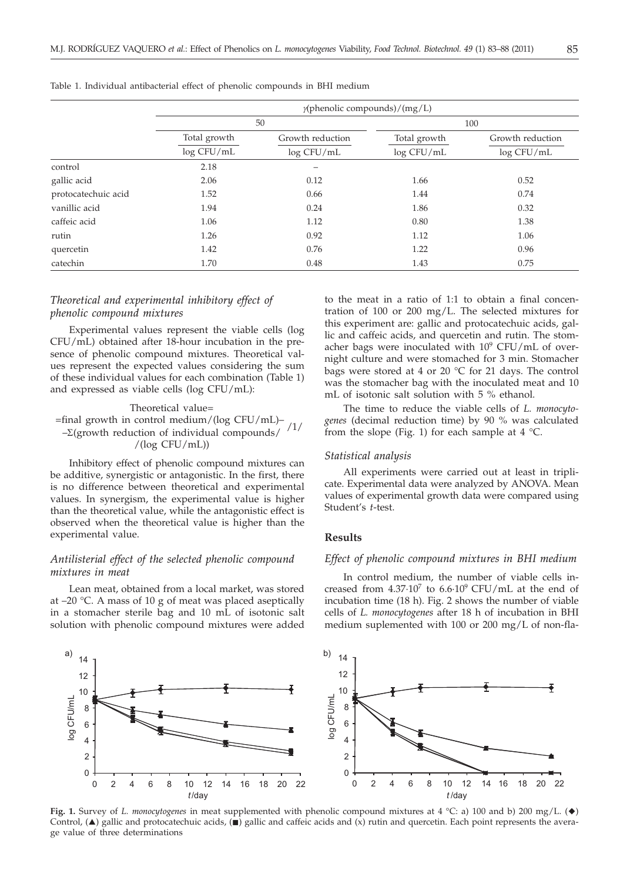| v |          | v        | _            |  |
|---|----------|----------|--------------|--|
| w | ۰.<br>۰. | e e<br>× | I<br>I<br>۰. |  |

|                     | $\gamma$ (phenolic compounds)/(mg/L) |                  |              |                  |  |
|---------------------|--------------------------------------|------------------|--------------|------------------|--|
|                     | 50                                   |                  | 100          |                  |  |
|                     | Total growth                         | Growth reduction | Total growth | Growth reduction |  |
|                     | log CFU/mL                           | log CFU/mL       | log CFU/mL   | log CFU/mL       |  |
| control             | 2.18                                 | -                |              |                  |  |
| gallic acid         | 2.06                                 | 0.12             | 1.66         | 0.52             |  |
| protocatechuic acid | 1.52                                 | 0.66             | 1.44         | 0.74             |  |
| vanillic acid       | 1.94                                 | 0.24             | 1.86         | 0.32             |  |
| caffeic acid        | 1.06                                 | 1.12             | 0.80         | 1.38             |  |
| rutin               | 1.26                                 | 0.92             | 1.12         | 1.06             |  |
| quercetin           | 1.42                                 | 0.76             | 1.22         | 0.96             |  |
| catechin            | 1.70                                 | 0.48             | 1.43         | 0.75             |  |

Table 1. Individual antibacterial effect of phenolic compounds in BHI medium

## *Theoretical and experimental inhibitory effect of phenolic compound mixtures*

Experimental values represent the viable cells (log CFU/mL) obtained after 18-hour incubation in the presence of phenolic compound mixtures. Theoretical values represent the expected values considering the sum of these individual values for each combination (Table 1) and expressed as viable cells (log CFU/mL):

#### Theoretical value= =final growth in control medium/(log CFU/mL)–  $-\Sigma$ (growth reduction of individual compounds/ /(log CFU/mL)) /1/

Inhibitory effect of phenolic compound mixtures can be additive, synergistic or antagonistic. In the first, there is no difference between theoretical and experimental values. In synergism, the experimental value is higher than the theoretical value, while the antagonistic effect is observed when the theoretical value is higher than the experimental value.

## *Antilisterial effect of the selected phenolic compound mixtures in meat*

Lean meat, obtained from a local market, was stored at –20 °C. A mass of 10 g of meat was placed aseptically in a stomacher sterile bag and 10 mL of isotonic salt solution with phenolic compound mixtures were added

to the meat in a ratio of 1:1 to obtain a final concentration of 100 or 200 mg/L. The selected mixtures for this experiment are: gallic and protocatechuic acids, gallic and caffeic acids, and quercetin and rutin. The stomacher bags were inoculated with  $10^9$  CFU/mL of overnight culture and were stomached for 3 min. Stomacher bags were stored at 4 or 20 °C for 21 days. The control was the stomacher bag with the inoculated meat and 10 mL of isotonic salt solution with 5 % ethanol.

The time to reduce the viable cells of *L. monocytogenes* (decimal reduction time) by 90 % was calculated from the slope (Fig. 1) for each sample at  $4 \text{ }^{\circ}$ C.

## *Statistical analysis*

All experiments were carried out at least in triplicate. Experimental data were analyzed by ANOVA. Mean values of experimental growth data were compared using Student's *t*-test.

### **Results**

## *Effect of phenolic compound mixtures in BHI medium*

In control medium, the number of viable cells increased from  $4.37 \cdot 10^7$  to  $6.6 \cdot 10^9$  CFU/mL at the end of incubation time (18 h). Fig. 2 shows the number of viable cells of *L. monocytogenes* after 18 h of incubation in BHI medium suplemented with 100 or 200 mg/L of non-fla-



**Fig. 1.** Survey of *L. monocytogenes* in meat supplemented with phenolic compound mixtures at 4 °C: a) 100 and b) 200 mg/L. ( $\blacklozenge$ ) Control,  $(\triangle)$  gallic and protocatechuic acids,  $(\square)$  gallic and caffeic acids and  $(x)$  rutin and quercetin. Each point represents the average value of three determinations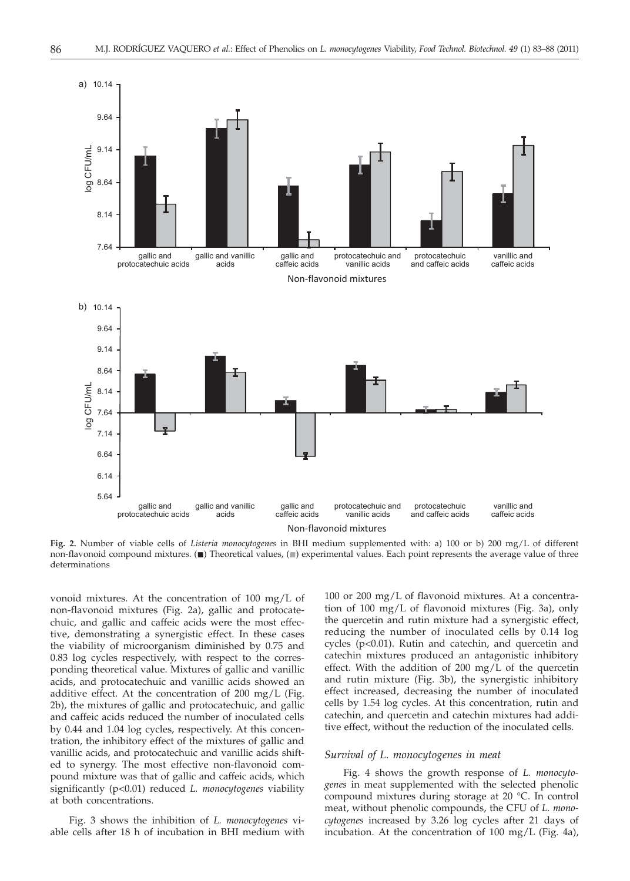

**Fig. 2.** Number of viable cells of *Listeria monocytogenes* in BHI medium supplemented with: a) 100 or b) 200 mg/L of different non-flavonoid compound mixtures. ( $\blacksquare$ ) Theoretical values, ( $\blacksquare$ ) experimental values. Each point represents the average value of three determinations

vonoid mixtures. At the concentration of 100 mg/L of non-flavonoid mixtures (Fig. 2a), gallic and protocatechuic, and gallic and caffeic acids were the most effective, demonstrating a synergistic effect. In these cases the viability of microorganism diminished by 0.75 and 0.83 log cycles respectively, with respect to the corresponding theoretical value. Mixtures of gallic and vanillic acids, and protocatechuic and vanillic acids showed an additive effect. At the concentration of 200 mg/L (Fig. 2b), the mixtures of gallic and protocatechuic, and gallic and caffeic acids reduced the number of inoculated cells by 0.44 and 1.04 log cycles, respectively. At this concentration, the inhibitory effect of the mixtures of gallic and vanillic acids, and protocatechuic and vanillic acids shifted to synergy. The most effective non-flavonoid compound mixture was that of gallic and caffeic acids, which significantly (p<0.01) reduced *L. monocytogenes* viability at both concentrations.

Fig. 3 shows the inhibition of *L. monocytogenes* viable cells after 18 h of incubation in BHI medium with

100 or 200 mg/L of flavonoid mixtures. At a concentration of 100 mg/L of flavonoid mixtures (Fig. 3a), only the quercetin and rutin mixture had a synergistic effect, reducing the number of inoculated cells by 0.14 log cycles (p<0.01). Rutin and catechin, and quercetin and catechin mixtures produced an antagonistic inhibitory effect. With the addition of 200 mg/L of the quercetin and rutin mixture (Fig. 3b), the synergistic inhibitory effect increased, decreasing the number of inoculated cells by 1.54 log cycles. At this concentration, rutin and catechin, and quercetin and catechin mixtures had additive effect, without the reduction of the inoculated cells.

# *Survival of L. monocytogenes in meat*

Fig. 4 shows the growth response of *L. monocytogenes* in meat supplemented with the selected phenolic compound mixtures during storage at 20 °C. In control meat, without phenolic compounds, the CFU of *L. monocytogenes* increased by 3.26 log cycles after 21 days of incubation. At the concentration of 100 mg/L (Fig. 4a),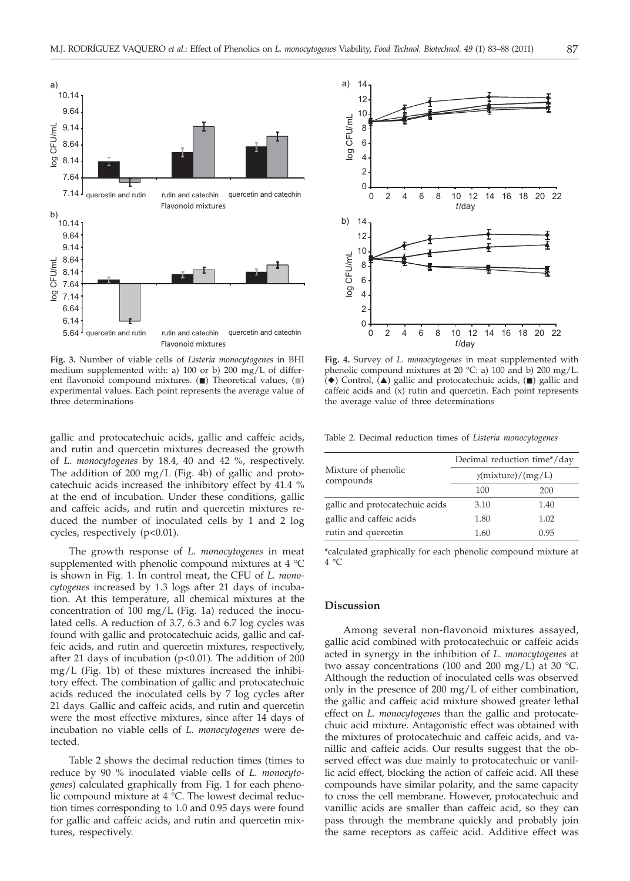

**Fig. 3.** Number of viable cells of *Listeria monocytogenes* in BHI medium supplemented with: a) 100 or b) 200 mg/L of different flavonoid compound mixtures.  $(\blacksquare)$  Theoretical values,  $(\blacksquare)$ experimental values. Each point represents the average value of three determinations

gallic and protocatechuic acids, gallic and caffeic acids, and rutin and quercetin mixtures decreased the growth of *L. monocytogenes* by 18.4, 40 and 42 %, respectively. The addition of 200 mg/L (Fig. 4b) of gallic and protocatechuic acids increased the inhibitory effect by 41.4 % at the end of incubation. Under these conditions, gallic and caffeic acids, and rutin and quercetin mixtures reduced the number of inoculated cells by 1 and 2 log cycles, respectively (p<0.01).

The growth response of *L. monocytogenes* in meat supplemented with phenolic compound mixtures at 4 °C is shown in Fig. 1. In control meat, the CFU of *L. monocytogenes* increased by 1.3 logs after 21 days of incubation. At this temperature, all chemical mixtures at the concentration of 100 mg/L (Fig. 1a) reduced the inoculated cells. A reduction of 3.7, 6.3 and 6.7 log cycles was found with gallic and protocatechuic acids, gallic and caffeic acids, and rutin and quercetin mixtures, respectively, after 21 days of incubation ( $p<0.01$ ). The addition of 200 mg/L (Fig. 1b) of these mixtures increased the inhibitory effect. The combination of gallic and protocatechuic acids reduced the inoculated cells by 7 log cycles after 21 days. Gallic and caffeic acids, and rutin and quercetin were the most effective mixtures, since after 14 days of incubation no viable cells of *L. monocytogenes* were detected.

Table 2 shows the decimal reduction times (times to reduce by 90 % inoculated viable cells of *L. monocytogenes*) calculated graphically from Fig. 1 for each phenolic compound mixture at 4 °C. The lowest decimal reduction times corresponding to 1.0 and 0.95 days were found for gallic and caffeic acids, and rutin and quercetin mixtures, respectively.



**Fig. 4.** Survey of *L. monocytogenes* in meat supplemented with phenolic compound mixtures at 20 °C: a) 100 and b) 200 mg/L.  $(\blacklozenge)$  Control,  $(\blacktriangle)$  gallic and protocatechuic acids,  $(\blacksquare)$  gallic and caffeic acids and (x) rutin and quercetin. Each point represents the average value of three determinations

Table 2. Decimal reduction times of *Listeria monocytogenes*

|                                  | Decimal reduction time*/day |      |  |  |
|----------------------------------|-----------------------------|------|--|--|
| Mixture of phenolic<br>compounds | $\gamma$ (mixture)/(mg/L)   |      |  |  |
|                                  | 100                         | 200  |  |  |
| gallic and protocatechuic acids  | 3.10                        | 1.40 |  |  |
| gallic and caffeic acids         | 1.80                        | 1.02 |  |  |
| rutin and quercetin              | 1.60                        | 0.95 |  |  |

\*calculated graphically for each phenolic compound mixture at  $4 °C$ 

#### **Discussion**

Among several non-flavonoid mixtures assayed, gallic acid combined with protocatechuic or caffeic acids acted in synergy in the inhibition of *L. monocytogenes* at two assay concentrations (100 and 200 mg/L) at 30  $^{\circ}$ C. Although the reduction of inoculated cells was observed only in the presence of 200 mg/L of either combination, the gallic and caffeic acid mixture showed greater lethal effect on *L. monocytogenes* than the gallic and protocatechuic acid mixture. Antagonistic effect was obtained with the mixtures of protocatechuic and caffeic acids, and vanillic and caffeic acids. Our results suggest that the observed effect was due mainly to protocatechuic or vanillic acid effect, blocking the action of caffeic acid. All these compounds have similar polarity, and the same capacity to cross the cell membrane. However, protocatechuic and vanillic acids are smaller than caffeic acid, so they can pass through the membrane quickly and probably join the same receptors as caffeic acid. Additive effect was